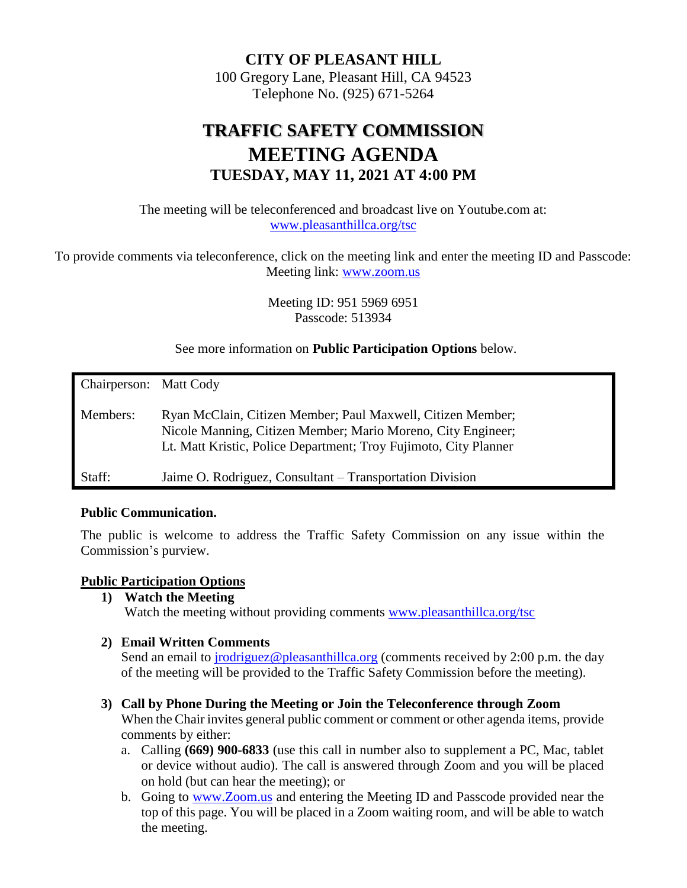**CITY OF PLEASANT HILL** 100 Gregory Lane, Pleasant Hill, CA 94523 Telephone No. (925) 671-5264

# **TRAFFIC SAFETY COMMISSION MEETING AGENDA TUESDAY, MAY 11, 2021 AT 4:00 PM**

The meeting will be teleconferenced and broadcast live on Youtube.com at: [www.pleasanthillca.org/tsc](http://www.pleasanthillca.org/tsc)

To provide comments via teleconference, click on the meeting link and enter the meeting ID and Passcode: Meeting link: [www.zoom.us](http://www.zoom.us/)

> Meeting ID: 951 5969 6951 Passcode: 513934

See more information on **Public Participation Options** below.

| Chairperson: Matt Cody |                                                                                                                                                                                                 |
|------------------------|-------------------------------------------------------------------------------------------------------------------------------------------------------------------------------------------------|
| Members:               | Ryan McClain, Citizen Member; Paul Maxwell, Citizen Member;<br>Nicole Manning, Citizen Member; Mario Moreno, City Engineer;<br>Lt. Matt Kristic, Police Department; Troy Fujimoto, City Planner |
| Staff:                 | Jaime O. Rodriguez, Consultant – Transportation Division                                                                                                                                        |

#### **Public Communication.**

The public is welcome to address the Traffic Safety Commission on any issue within the Commission's purview.

#### **Public Participation Options**

**1) Watch the Meeting**

Watch the meeting without providing comments [www.pleasanthillca.org/tsc](http://www.pleasanthillca.org/tsc)

#### **2) Email Written Comments**

Send an email to *jrodriguez@pleasanthillca.org* (comments received by 2:00 p.m. the day of the meeting will be provided to the Traffic Safety Commission before the meeting).

#### **3) Call by Phone During the Meeting or Join the Teleconference through Zoom**

When the Chair invites general public comment or comment or other agenda items, provide comments by either:

- a. Calling **(669) 900-6833** (use this call in number also to supplement a PC, Mac, tablet or device without audio). The call is answered through Zoom and you will be placed on hold (but can hear the meeting); or
- b. Going to [www.Zoom.us](http://www.zoom.us/) and entering the Meeting ID and Passcode provided near the top of this page. You will be placed in a Zoom waiting room, and will be able to watch the meeting.